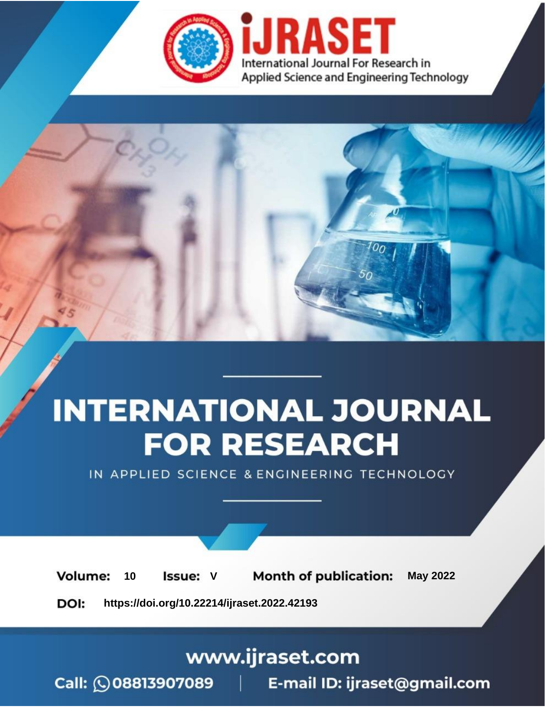

# **INTERNATIONAL JOURNAL FOR RESEARCH**

IN APPLIED SCIENCE & ENGINEERING TECHNOLOGY

Volume: **Month of publication: May 2022** 10 **Issue: V** 

DOI: https://doi.org/10.22214/ijraset.2022.42193

www.ijraset.com

Call: 008813907089 | E-mail ID: ijraset@gmail.com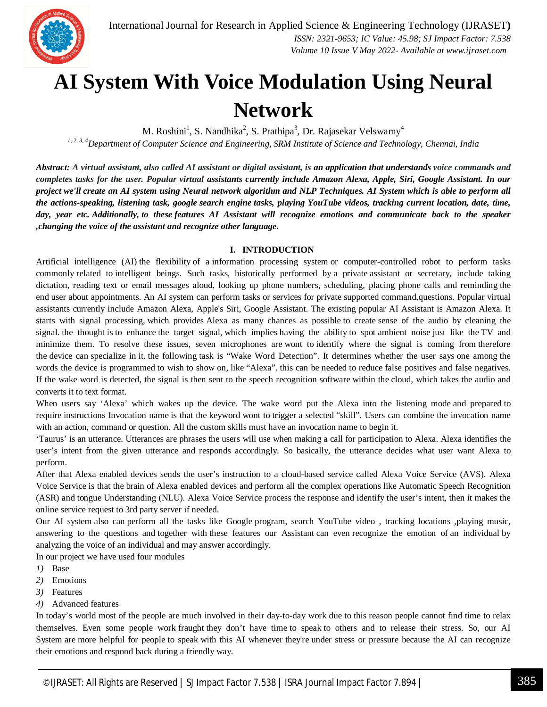

### **AI System With Voice Modulation Using Neural Network**

M. Roshini<sup>1</sup>, S. Nandhika<sup>2</sup>, S. Prathipa<sup>3</sup>, Dr. Rajasekar Velswamy<sup>4</sup> *1, 2, 3, 4Department of Computer Science and Engineering, SRM Institute of Science and Technology, Chennai, India*

*Abstract: A virtual assistant, also called AI assistant or digital assistant, is an application that understands voice commands and completes tasks for the user. Popular virtual assistants currently include Amazon Alexa, Apple, Siri, Google Assistant. In our project we'll create an AI system using Neural network algorithm and NLP Techniques. AI System which is able to perform all the actions-speaking, listening task, google search engine tasks, playing YouTube videos, tracking current location, date, time, day, year etc. Additionally, to these features AI Assistant will recognize emotions and communicate back to the speaker ,changing the voice of the assistant and recognize other language.*

#### **I. INTRODUCTION**

Artificial intelligence (AI) the flexibility of a information processing system or computer-controlled robot to perform tasks commonly related to intelligent beings. Such tasks, historically performed by a private assistant or secretary, include taking dictation, reading text or email messages aloud, looking up phone numbers, scheduling, placing phone calls and reminding the end user about appointments. An AI system can perform tasks or services for private supported command,questions. Popular virtual assistants currently include Amazon Alexa, Apple's Siri, Google Assistant. The existing popular AI Assistant is Amazon Alexa. It starts with signal processing, which provides Alexa as many chances as possible to create sense of the audio by cleaning the signal. the thought is to enhance the target signal, which implies having the ability to spot ambient noise just like the TV and minimize them. To resolve these issues, seven microphones are wont to identify where the signal is coming from therefore the device can specialize in it. the following task is "Wake Word Detection". It determines whether the user says one among the words the device is programmed to wish to show on, like "Alexa". this can be needed to reduce false positives and false negatives. If the wake word is detected, the signal is then sent to the speech recognition software within the cloud, which takes the audio and converts it to text format.

When users say 'Alexa' which wakes up the device. The wake word put the Alexa into the listening mode and prepared to require instructions Invocation name is that the keyword wont to trigger a selected "skill". Users can combine the invocation name with an action, command or question. All the custom skills must have an invocation name to begin it.

'Taurus' is an utterance. Utterances are phrases the users will use when making a call for participation to Alexa. Alexa identifies the user's intent from the given utterance and responds accordingly. So basically, the utterance decides what user want Alexa to perform.

After that Alexa enabled devices sends the user's instruction to a cloud-based service called Alexa Voice Service (AVS). Alexa Voice Service is that the brain of Alexa enabled devices and perform all the complex operations like Automatic Speech Recognition (ASR) and tongue Understanding (NLU). Alexa Voice Service process the response and identify the user's intent, then it makes the online service request to 3rd party server if needed.

Our AI system also can perform all the tasks like Google program, search YouTube video , tracking locations ,playing music, answering to the questions and together with these features our Assistant can even recognize the emotion of an individual by analyzing the voice of an individual and may answer accordingly.

In our project we have used four modules

- *1)* Base
- *2)* Emotions
- *3)* Features
- *4)* Advanced features

In today's world most of the people are much involved in their day-to-day work due to this reason people cannot find time to relax themselves. Even some people work fraught they don't have time to speak to others and to release their stress. So, our AI System are more helpful for people to speak with this AI whenever they're under stress or pressure because the AI can recognize their emotions and respond back during a friendly way.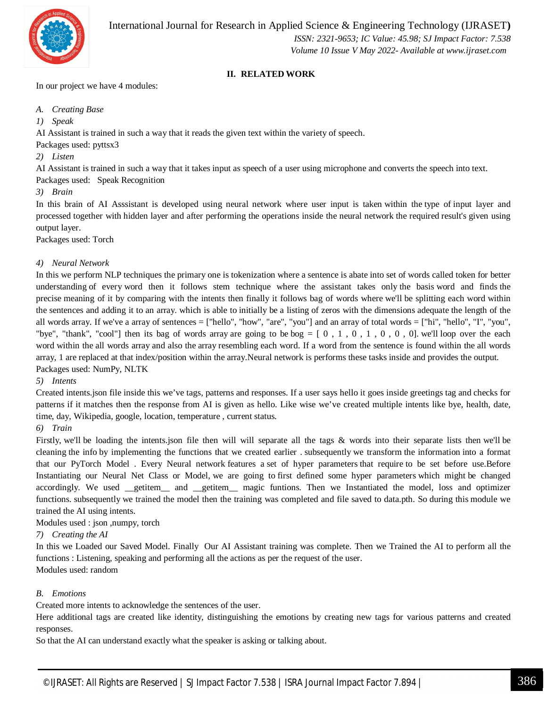

 *ISSN: 2321-9653; IC Value: 45.98; SJ Impact Factor: 7.538 Volume 10 Issue V May 2022- Available at www.ijraset.com*

#### **II. RELATED WORK**

In our project we have 4 modules:

*A. Creating Base*

*1) Speak*

AI Assistant is trained in such a way that it reads the given text within the variety of speech.

Packages used: pyttsx3

*2) Listen*

AI Assistant is trained in such a way that it takes input as speech of a user using microphone and converts the speech into text.

Packages used: Speak Recognition

*3) Brain*

In this brain of AI Asssistant is developed using neural network where user input is taken within the type of input layer and processed together with hidden layer and after performing the operations inside the neural network the required result's given using output layer.

Packages used: Torch

#### *4) Neural Network*

In this we perform NLP techniques the primary one is tokenization where a sentence is abate into set of words called token for better understanding of every word then it follows stem technique where the assistant takes only the basis word and finds the precise meaning of it by comparing with the intents then finally it follows bag of words where we'll be splitting each word within the sentences and adding it to an array. which is able to initially be a listing of zeros with the dimensions adequate the length of the all words array. If we've a array of sentences = ["hello", "how", "are", "you"] and an array of total words = ["hi", "hello", "I", "you", "bye", "thank", "cool"] then its bag of words array are going to be bog  $= [0, 1, 0, 1, 0, 0, 0]$ . we'll loop over the each word within the all words array and also the array resembling each word. If a word from the sentence is found within the all words array, 1 are replaced at that index/position within the array.Neural network is performs these tasks inside and provides the output. Packages used: NumPy, NLTK

*5) Intents*

Created intents.json file inside this we've tags, patterns and responses. If a user says hello it goes inside greetings tag and checks for patterns if it matches then the response from AI is given as hello. Like wise we've created multiple intents like bye, health, date, time, day, Wikipedia, google, location, temperature , current status.

*6) Train*

Firstly, we'll be loading the intents.json file then will will separate all the tags & words into their separate lists then we'll be cleaning the info by implementing the functions that we created earlier . subsequently we transform the information into a format that our PyTorch Model . Every Neural network features a set of hyper parameters that require to be set before use.Before Instantiating our Neural Net Class or Model, we are going to first defined some hyper parameters which might be changed accordingly. We used getitem and getitem magic funtions. Then we Instantiated the model, loss and optimizer functions. subsequently we trained the model then the training was completed and file saved to data.pth. So during this module we trained the AI using intents.

Modules used : json ,numpy, torch

#### *7) Creating the AI*

In this we Loaded our Saved Model. Finally Our AI Assistant training was complete. Then we Trained the AI to perform all the functions : Listening, speaking and performing all the actions as per the request of the user. Modules used: random

*B. Emotions*

Created more intents to acknowledge the sentences of the user.

Here additional tags are created like identity, distinguishing the emotions by creating new tags for various patterns and created responses.

So that the AI can understand exactly what the speaker is asking or talking about.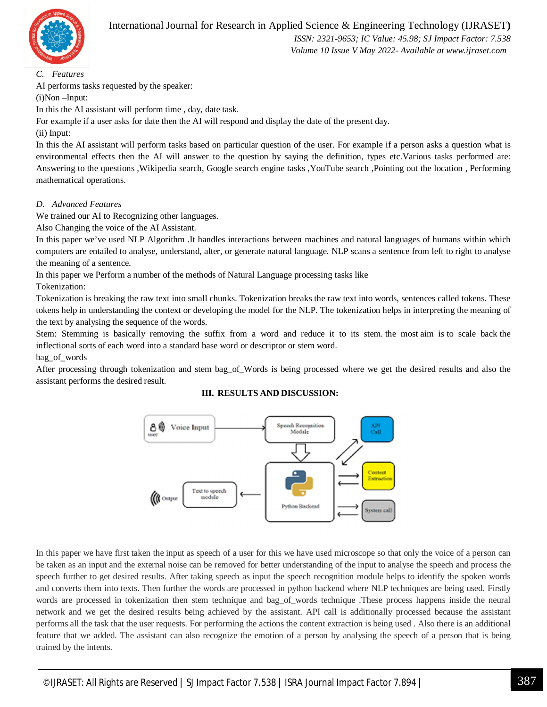

 *ISSN: 2321-9653; IC Value: 45.98; SJ Impact Factor: 7.538 Volume 10 Issue V May 2022- Available at www.ijraset.com*

*C. Features*

AI performs tasks requested by the speaker:

(i)Non –Input:

In this the AI assistant will perform time , day, date task.

For example if a user asks for date then the AI will respond and display the date of the present day. (ii) Input:

In this the AI assistant will perform tasks based on particular question of the user. For example if a person asks a question what is environmental effects then the AI will answer to the question by saying the definition, types etc.Various tasks performed are: Answering to the questions ,Wikipedia search, Google search engine tasks ,YouTube search ,Pointing out the location , Performing mathematical operations.

#### *D. Advanced Features*

We trained our AI to Recognizing other languages.

Also Changing the voice of the AI Assistant.

In this paper we've used NLP Algorithm .It handles interactions between machines and natural languages of humans within which computers are entailed to analyse, understand, alter, or generate natural language. NLP scans a sentence from left to right to analyse the meaning of a sentence.

In this paper we Perform a number of the methods of Natural Language processing tasks like Tokenization:

Tokenization is breaking the raw text into small chunks. Tokenization breaks the raw text into words, sentences called tokens. These tokens help in understanding the context or developing the model for the NLP. The tokenization helps in interpreting the meaning of the text by analysing the sequence of the words.

Stem: Stemming is basically removing the suffix from a word and reduce it to its stem. the most aim is to scale back the inflectional sorts of each word into a standard base word or descriptor or stem word.

bag\_of\_words

After processing through tokenization and stem bag\_of\_Words is being processed where we get the desired results and also the assistant performs the desired result.

#### **III. RESULTS AND DISCUSSION:**



In this paper we have first taken the input as speech of a user for this we have used microscope so that only the voice of a person can be taken as an input and the external noise can be removed for better understanding of the input to analyse the speech and process the speech further to get desired results. After taking speech as input the speech recognition module helps to identify the spoken words and converts them into texts. Then further the words are processed in python backend where NLP techniques are being used. Firstly words are processed in tokenization then stem technique and bag\_of\_words technique .These process happens inside the neural network and we get the desired results being achieved by the assistant. API call is additionally processed because the assistant performs all the task that the user requests. For performing the actions the content extraction is being used . Also there is an additional feature that we added. The assistant can also recognize the emotion of a person by analysing the speech of a person that is being trained by the intents.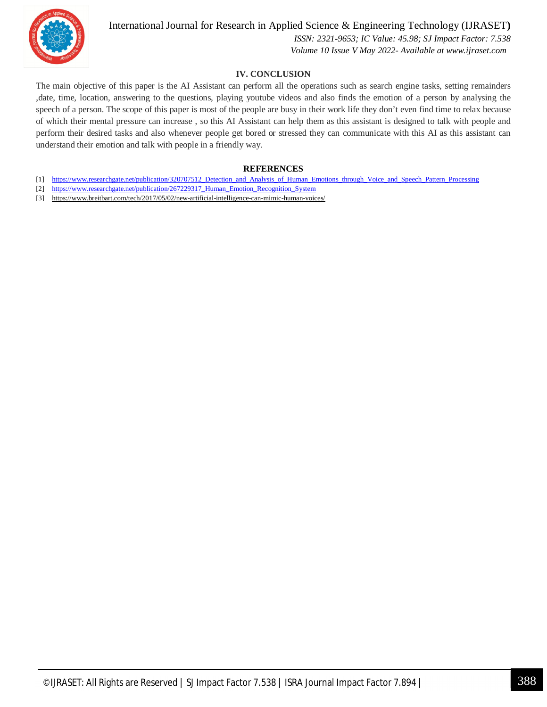

#### International Journal for Research in Applied Science & Engineering Technology (IJRASET**)**

 *ISSN: 2321-9653; IC Value: 45.98; SJ Impact Factor: 7.538 Volume 10 Issue V May 2022- Available at www.ijraset.com*

#### **IV. CONCLUSION**

The main objective of this paper is the AI Assistant can perform all the operations such as search engine tasks, setting remainders ,date, time, location, answering to the questions, playing youtube videos and also finds the emotion of a person by analysing the speech of a person. The scope of this paper is most of the people are busy in their work life they don't even find time to relax because of which their mental pressure can increase , so this AI Assistant can help them as this assistant is designed to talk with people and perform their desired tasks and also whenever people get bored or stressed they can communicate with this AI as this assistant can understand their emotion and talk with people in a friendly way.

#### **REFERENCES**

- [1] https://www.researchgate.net/publication/320707512\_Detection\_and\_Analysis\_of\_Human\_Emotions\_through\_Voice\_and\_Speech\_Pattern\_Processing
- [2] https://www.researchgate.net/publication/267229317\_Human\_Emotion\_Recognition\_System
- [3] https://www.breitbart.com/tech/2017/05/02/new-artificial-intelligence-can-mimic-human-voices/